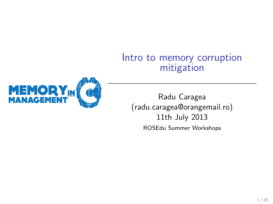#### Intro to memory corruption mitigation



Radu Caragea (radu.caragea@orangemail.ro) 11th July 2013 ROSEdu Summer Workshops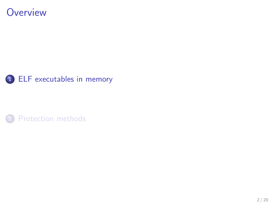#### **Overview**



<span id="page-1-0"></span>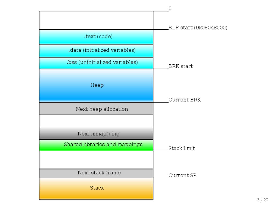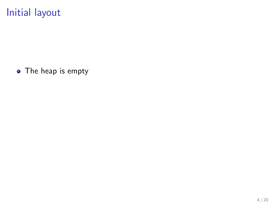## Initial layout

• The heap is empty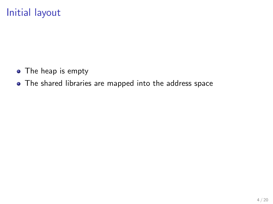## Initial layout

- The heap is empty
- The shared libraries are mapped into the address space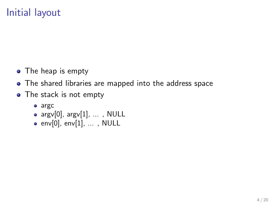## Initial layout

- The heap is empty
- The shared libraries are mapped into the address space
- The stack is not empty
	- argc
	- $\bullet$  argv[0], argv[1], ..., NULL
	- $\bullet$  env[0], env[1], ..., NULL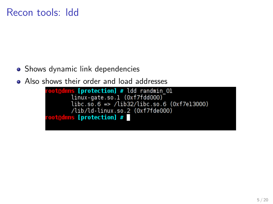### Recon tools: ldd

- Shows dynamic link dependencies
- 

```
• Also shows their order and load addresses<br>
coat@dmns [protection] # ldd randmin_01<br>
linux-gate.so.1 (0xf7fdd000)<br>
libc.so.6 => /lib32/libc.so.6 (0xf7e13000)
                               /lib/ld-linux.so.2 (Oxf7fde000)
                  oot@dmns [protection] #
```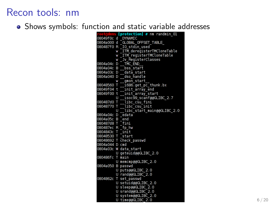## Recon tools: nm

• Shows symbols: function and static variable addresses

|                   |   | root@dmns [protection] # nm randmin 01         |
|-------------------|---|------------------------------------------------|
|                   |   | 08049f0c d _DYNAMIC                            |
|                   |   | 0804a000 d _GLOBAL_OFFSET_TABLE_               |
|                   |   | 080487f0 R _IO_stdin_used                      |
|                   | W | ITM deregisterTMCloneTable                     |
|                   | W | <u>ITM registerTMCloneTable</u>                |
|                   | W | Jv RegisterClasses                             |
| 0804a04c D        |   | TMC END                                        |
| 0804a04c B        |   | bss start                                      |
| 0804a03c D        |   | _ data_start                                   |
| 0804a040 D        |   | __dso_handle                                   |
|                   | W | __gmon_start                                   |
| 08048560 T        |   | 1686.get_pc_thunk.bx                           |
| 08049f04 t        |   | init_array_end                                 |
| 08049f00 t        |   | init_array_start                               |
|                   | U | isoc99 scanf@@GLIBC 2.7                        |
| 080487d0 T        |   | libc_csu_fini                                  |
| 08048770 T        |   | $\sqrt{ }$ libc $\sqrt{ }$ csu $\sqrt{ }$ init |
|                   | U | __libc_start_main@@GLIBC_2.0                   |
| 0804a04c D        |   | edata                                          |
| 0804a05c B        |   | end                                            |
| 080487d8 T        |   | <b>Lin</b>                                     |
| 080487ec R _fp_hw |   |                                                |
| 0804843c T _init  |   |                                                |
| 08048530 T _start |   |                                                |
|                   |   | 08048692 T check passwd                        |
| 0804a044 D cmd    |   |                                                |
| 0804a03c          |   | W data start                                   |
|                   | U | geteuid@@GLIBC 2.0                             |
| 080486fc          | т | main                                           |
|                   | U | memcmp@@GLIBC 2.0                              |
| 0804a050          | В | passwd                                         |
|                   | U | puts@@GLIBC_2.0                                |
|                   |   | U rand@@GLIBC 2.0                              |
| 0804862c          |   | T set passwd                                   |
|                   |   | U setuid@@GLIBC 2.0                            |
|                   | U | sleep@@GLIBC_2.0                               |
|                   |   | U srand@@GLIBC 2.0                             |
|                   |   | U system@@GLIBC_2.0                            |
|                   |   | U time@@GLIBC 2.0                              |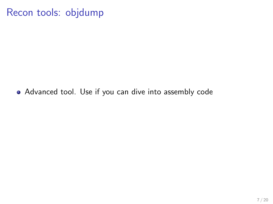## Recon tools: objdump

Advanced tool. Use if you can dive into assembly code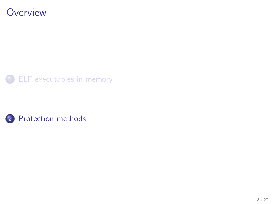### **Overview**



<span id="page-9-0"></span>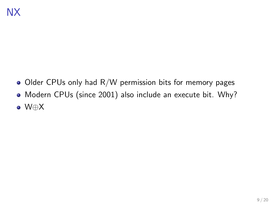- $\bullet$  Older CPUs only had R/W permission bits for memory pages
- Modern CPUs (since 2001) also include an execute bit. Why?
- W⊕X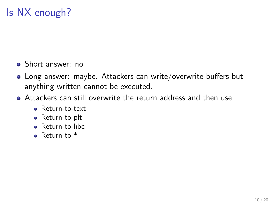## Is NX enough?

- Short answer: no
- Long answer: maybe. Attackers can write/overwrite buffers but anything written cannot be executed.
- Attackers can still overwrite the return address and then use:
	- Return-to-text
	- Return-to-plt
	- Return-to-libc
	- Return-to-\*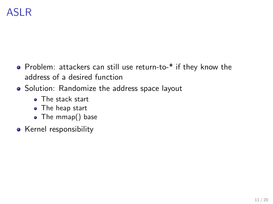## ASLR

- Problem: attackers can still use return-to-\* if they know the address of a desired function
- Solution: Randomize the address space layout
	- **a** The stack start
	- The heap start
	- The mmap() base
- Kernel responsibility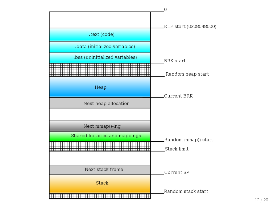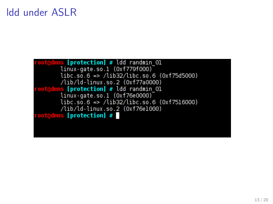## ldd under ASLR

root@dmns [protection] # ldd randmin 01 linux-gate.so.1 (0xf779f000)<br>linux-gate.so.1 (0xf779f000)<br>libc.so.6 => /lib32/libc.so.6 (0xf75d5000) /lib/ld-linux.so.2 (0xf77a0000) root@dmns [protection] # ldd randmin 01<br>linux-gate.so.1 (0xf76e0000)<br>libc.so.6 => /lib32/libc.so.6 (0xf7516000) /lib/ld-linux.so.2 (0xf76e1000) root@dmns [protection] #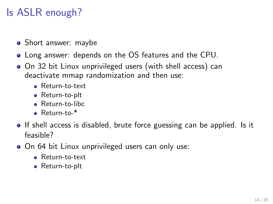# Is ASLR enough?

- Short answer: maybe
- Long answer: depends on the OS features and the CPU.
- On 32 bit Linux unprivileged users (with shell access) can deactivate mmap randomization and then use:
	- Return-to-text
	- Return-to-plt
	- **Beturn-to-libc**
	- Return-to-\*
- If shell access is disabled, brute force guessing can be applied. Is it feasible?
- On 64 bit Linux unprivileged users can only use:
	- Return-to-text
	- Return-to-plt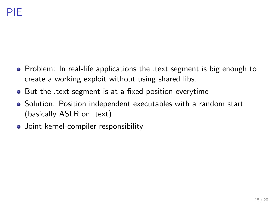- Problem: In real-life applications the text segment is big enough to create a working exploit without using shared libs.
- But the text segment is at a fixed position everytime
- Solution: Position independent executables with a random start (basically ASLR on .text)
- Joint kernel-compiler responsibility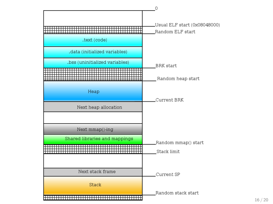

16 / 20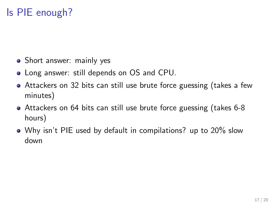## Is PIE enough?

- Short answer: mainly yes
- Long answer: still depends on OS and CPU.
- Attackers on 32 bits can still use brute force guessing (takes a few minutes)
- Attackers on 64 bits can still use brute force guessing (takes 6-8 hours)
- Why isn't PIE used by default in compilations? up to 20% slow down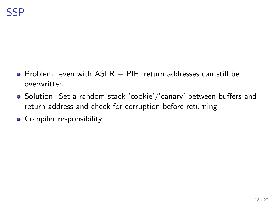- Problem: even with  $ASLR + PIE$ , return addresses can still be overwritten
- Solution: Set a random stack 'cookie'/'canary' between buffers and return address and check for corruption before returning
- **•** Compiler responsibility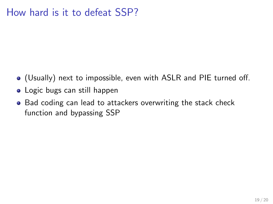### How hard is it to defeat SSP?

- (Usually) next to impossible, even with ASLR and PIE turned off.
- Logic bugs can still happen
- Bad coding can lead to attackers overwriting the stack check function and bypassing SSP